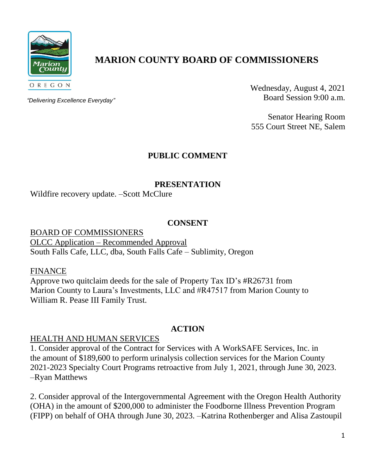

# **MARION COUNTY BOARD OF COMMISSIONERS**

*"Delivering Excellence Everyday"*

Wednesday, August 4, 2021 Board Session 9:00 a.m.

Senator Hearing Room 555 Court Street NE, Salem

# **PUBLIC COMMENT**

#### **PRESENTATION**

Wildfire recovery update. –Scott McClure

#### **CONSENT**

BOARD OF COMMISSIONERS OLCC Application – Recommended Approval South Falls Cafe, LLC, dba, South Falls Cafe – Sublimity, Oregon

FINANCE

Approve two quitclaim deeds for the sale of Property Tax ID's #R26731 from Marion County to Laura's Investments, LLC and #R47517 from Marion County to William R. Pease III Family Trust.

#### **ACTION**

#### HEALTH AND HUMAN SERVICES

1. Consider approval of the Contract for Services with A WorkSAFE Services, Inc. in the amount of \$189,600 to perform urinalysis collection services for the Marion County 2021-2023 Specialty Court Programs retroactive from July 1, 2021, through June 30, 2023. –Ryan Matthews

2. Consider approval of the Intergovernmental Agreement with the Oregon Health Authority (OHA) in the amount of \$200,000 to administer the Foodborne Illness Prevention Program (FIPP) on behalf of OHA through June 30, 2023. –Katrina Rothenberger and Alisa Zastoupil